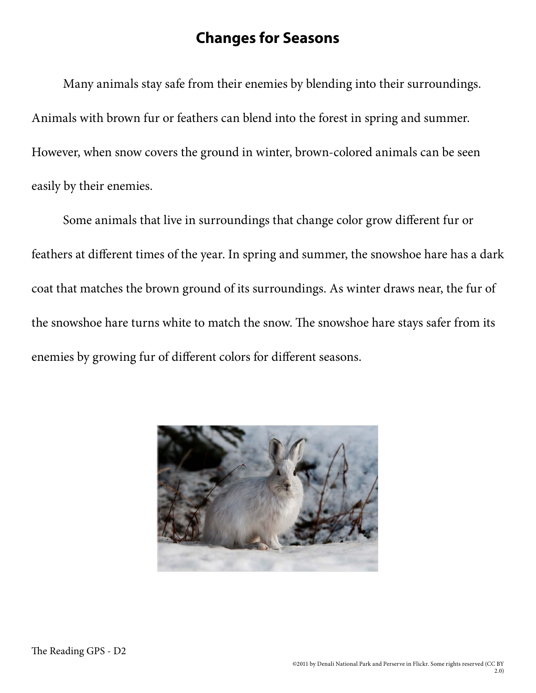## **Changes for Seasons**

Many animals stay safe from their enemies by blending into their surroundings. Animals with brown fur or feathers can blend into the forest in spring and summer. However, when snow covers the ground in winter, brown-colored animals can be seen easily by their enemies.

Some animals that live in surroundings that change color grow different fur or feathers at different times of the year. In spring and summer, the snowshoe hare has a dark coat that matches the brown ground of its surroundings. As winter draws near, the fur of the snowshoe hare turns white to match the snow. The snowshoe hare stays safer from its enemies by growing fur of different colors for different seasons.